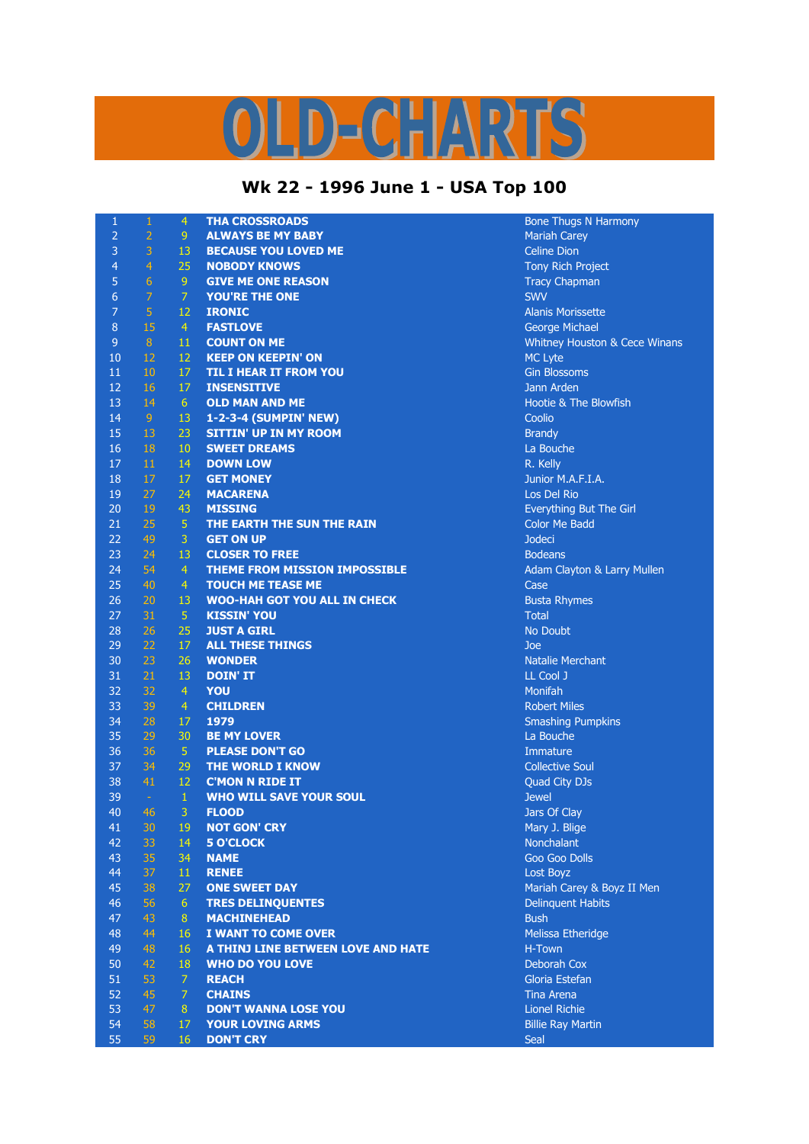## D-CHARTS

## **Wk 22 - 1996 June 1 - USA Top 100**

| $\mathbf{1}$   | $\mathbf{1}$   | $\overline{4}$ | <b>THA CROSSROADS</b>                | <b>Bone Thugs N Harmony</b>   |
|----------------|----------------|----------------|--------------------------------------|-------------------------------|
| $\overline{2}$ | $\overline{2}$ | 9              | <b>ALWAYS BE MY BABY</b>             | <b>Mariah Carey</b>           |
| 3              | 3              | 13             | <b>BECAUSE YOU LOVED ME</b>          | <b>Celine Dion</b>            |
| $\overline{4}$ | $\overline{4}$ | 25             | <b>NOBODY KNOWS</b>                  | Tony Rich Project             |
| 5              | 6              | 9              | <b>GIVE ME ONE REASON</b>            | <b>Tracy Chapman</b>          |
| 6              | 7              | $\overline{7}$ | <b>YOU'RE THE ONE</b>                | <b>SWV</b>                    |
| $\overline{7}$ | $\overline{5}$ | 12             | <b>IRONIC</b>                        | <b>Alanis Morissette</b>      |
| $\, 8$         | 15             | $\overline{4}$ | <b>FASTLOVE</b>                      | George Michael                |
| $\overline{9}$ | $\bf 8$        | 11             | <b>COUNT ON ME</b>                   | Whitney Houston & Cece Winans |
| 10             | 12             | 12             | <b>KEEP ON KEEPIN' ON</b>            | <b>MC Lyte</b>                |
| 11             | 10             | 17             | <b>TIL I HEAR IT FROM YOU</b>        | <b>Gin Blossoms</b>           |
| 12             | 16             | 17             | <b>INSENSITIVE</b>                   | Jann Arden                    |
| 13             | 14             | 6 <sup>1</sup> | <b>OLD MAN AND ME</b>                | Hootie & The Blowfish         |
| 14             | $\overline{9}$ | 13             | 1-2-3-4 (SUMPIN' NEW)                | Coolio                        |
| 15             | 13             | 23             | <b>SITTIN' UP IN MY ROOM</b>         | <b>Brandy</b>                 |
| 16             | 18             | 10             | <b>SWEET DREAMS</b>                  | La Bouche                     |
| 17             | 11             | 14             | <b>DOWN LOW</b>                      | R. Kelly                      |
| 18             | 17             | 17             | <b>GET MONEY</b>                     | Junior M.A.F.I.A.             |
| 19             | 27             | 24             | <b>MACARENA</b>                      | Los Del Rio                   |
| 20             | 19             | 43             | <b>MISSING</b>                       | Everything But The Girl       |
| 21             | 25             | $\overline{5}$ | THE EARTH THE SUN THE RAIN           | <b>Color Me Badd</b>          |
| 22             | 49             | 3              | <b>GET ON UP</b>                     | <b>Jodeci</b>                 |
| 23             | 24             | 13             | <b>CLOSER TO FREE</b>                | <b>Bodeans</b>                |
| 24             | 54             | $\overline{4}$ | <b>THEME FROM MISSION IMPOSSIBLE</b> | Adam Clayton & Larry Mullen   |
| 25             | 40             | $\overline{4}$ | <b>TOUCH ME TEASE ME</b>             | Case                          |
| 26             | 20             | 13             | <b>WOO-HAH GOT YOU ALL IN CHECK</b>  | <b>Busta Rhymes</b>           |
| 27             | 31             | 5 <sup>1</sup> | <b>KISSIN' YOU</b>                   | <b>Total</b>                  |
| 28             | 26             | 25             | <b>JUST A GIRL</b>                   | No Doubt                      |
| 29             | 22             | 17             | <b>ALL THESE THINGS</b>              | Joe                           |
| 30             | 23             | 26             | <b>WONDER</b>                        | <b>Natalie Merchant</b>       |
| 31             | 21             | 13             | <b>DOIN' IT</b>                      | LL Cool J                     |
| 32             | 32             | $\overline{4}$ | <b>YOU</b>                           | <b>Monifah</b>                |
| 33             | 39             | $\overline{4}$ | <b>CHILDREN</b>                      | <b>Robert Miles</b>           |
| 34             | 28             | 17             | 1979                                 | <b>Smashing Pumpkins</b>      |
| 35             | 29             | 30             | <b>BE MY LOVER</b>                   | La Bouche                     |
| 36             | 36             | 5 <sub>1</sub> | <b>PLEASE DON'T GO</b>               | Immature                      |
| 37             | 34             | 29             | THE WORLD I KNOW                     | <b>Collective Soul</b>        |
| 38             | 41             | 12             | <b>C'MON N RIDE IT</b>               | Quad City DJs                 |
| 39             | $\pm$          | $\mathbf{1}$   | <b>WHO WILL SAVE YOUR SOUL</b>       | <b>Jewel</b>                  |
| 40             | 46             | 3              | <b>FLOOD</b>                         | Jars Of Clay                  |
| 41             | 30             | 19             | <b>NOT GON' CRY</b>                  | Mary J. Blige                 |
| 42             | 33             | 14             | <b>5 O'CLOCK</b>                     | Nonchalant                    |
| 43             | 35             | 34             | <b>NAME</b>                          | Goo Goo Dolls                 |
| 44             | 37             | 11             | <b>RENEE</b>                         | Lost Boyz                     |
| 45             | 38             | 27             | <b>ONE SWEET DAY</b>                 | Mariah Carey & Boyz II Men    |
| 46             | 56             | 6 <sup>1</sup> | <b>TRES DELINQUENTES</b>             | <b>Delinquent Habits</b>      |
| 47             | 43             | 8              | <b>MACHINEHEAD</b>                   | <b>Bush</b>                   |
| 48             | 44             | 16             | I WANT TO COME OVER                  | Melissa Etheridge             |
| 49             | 48             | 16             | A THINJ LINE BETWEEN LOVE AND HATE   | H-Town                        |
| 50             | 42             | 18             | <b>WHO DO YOU LOVE</b>               | Deborah Cox                   |
| 51             | 53             | $\overline{7}$ | <b>REACH</b>                         | Gloria Estefan                |
| 52             | 45             | $\overline{7}$ | <b>CHAINS</b>                        | Tina Arena                    |
| 53             | 47             | 8 <sup>°</sup> | <b>DON'T WANNA LOSE YOU</b>          | <b>Lionel Richie</b>          |
| 54             | 58             | 17             | <b>YOUR LOVING ARMS</b>              | <b>Billie Ray Martin</b>      |
| 55             | 59             | 16             | <b>DON'T CRY</b>                     | Seal                          |